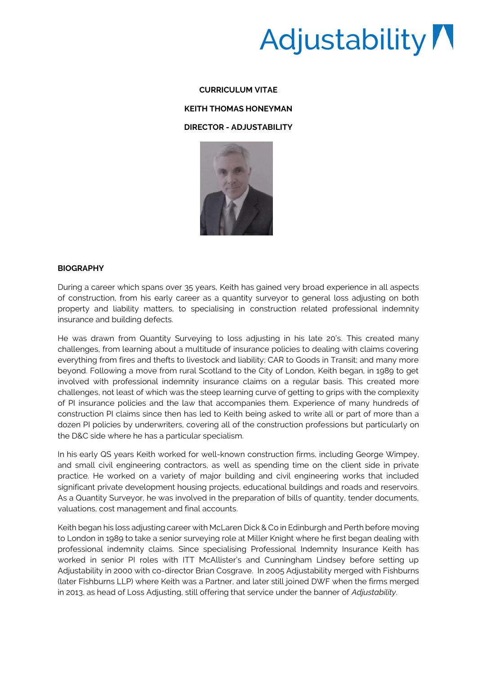# Adjustability /

#### **CURRICULUM VITAE**

## **KEITH THOMAS HONEYMAN**

## **DIRECTOR - ADJUSTABILITY**



## **BIOGRAPHY**

During a career which spans over 35 years, Keith has gained very broad experience in all aspects of construction, from his early career as a quantity surveyor to general loss adjusting on both property and liability matters, to specialising in construction related professional indemnity insurance and building defects.

He was drawn from Quantity Surveying to loss adjusting in his late 20's. This created many challenges, from learning about a multitude of insurance policies to dealing with claims covering everything from fires and thefts to livestock and liability; CAR to Goods in Transit; and many more beyond. Following a move from rural Scotland to the City of London, Keith began, in 1989 to get involved with professional indemnity insurance claims on a regular basis. This created more challenges, not least of which was the steep learning curve of getting to grips with the complexity of PI insurance policies and the law that accompanies them. Experience of many hundreds of construction PI claims since then has led to Keith being asked to write all or part of more than a dozen PI policies by underwriters, covering all of the construction professions but particularly on the D&C side where he has a particular specialism.

In his early QS years Keith worked for well-known construction firms, including George Wimpey, and small civil engineering contractors, as well as spending time on the client side in private practice. He worked on a variety of major building and civil engineering works that included significant private development housing projects, educational buildings and roads and reservoirs. As a Quantity Surveyor, he was involved in the preparation of bills of quantity, tender documents, valuations, cost management and final accounts.

Keith began his loss adjusting career with McLaren Dick & Co in Edinburgh and Perth before moving to London in 1989 to take a senior surveying role at Miller Knight where he first began dealing with professional indemnity claims. Since specialising Professional Indemnity Insurance Keith has worked in senior PI roles with ITT McAllister's and Cunningham Lindsey before setting up Adjustability in 2000 with co-director Brian Cosgrave. In 2005 Adjustability merged with Fishburns (later Fishburns LLP) where Keith was a Partner, and later still joined DWF when the firms merged in 2013, as head of Loss Adjusting, still offering that service under the banner of *Adjustability*.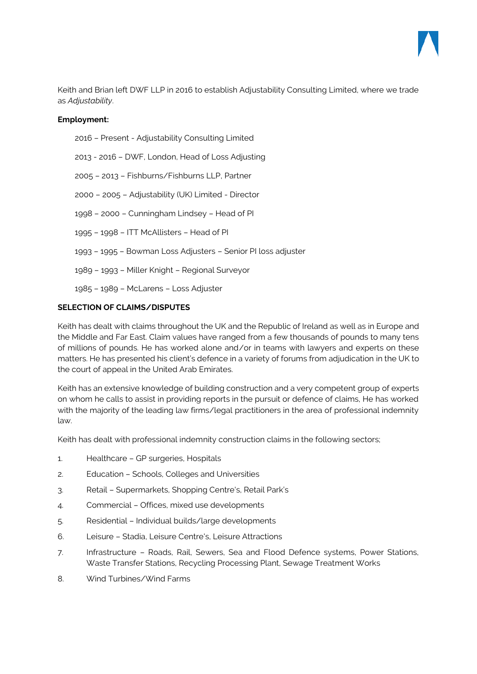

Keith and Brian left DWF LLP in 2016 to establish Adjustability Consulting Limited, where we trade as *Adjustability*.

# **Employment:**

2016 – Present - Adjustability Consulting Limited

2013 - 2016 – DWF, London, Head of Loss Adjusting

2005 – 2013 – Fishburns/Fishburns LLP, Partner

2000 – 2005 – Adjustability (UK) Limited - Director

1998 – 2000 – Cunningham Lindsey – Head of PI

1995 – 1998 – ITT McAllisters – Head of PI

1993 – 1995 – Bowman Loss Adjusters – Senior PI loss adjuster

1989 – 1993 – Miller Knight – Regional Surveyor

1985 – 1989 – McLarens – Loss Adjuster

# **SELECTION OF CLAIMS/DISPUTES**

Keith has dealt with claims throughout the UK and the Republic of Ireland as well as in Europe and the Middle and Far East. Claim values have ranged from a few thousands of pounds to many tens of millions of pounds. He has worked alone and/or in teams with lawyers and experts on these matters. He has presented his client's defence in a variety of forums from adjudication in the UK to the court of appeal in the United Arab Emirates.

Keith has an extensive knowledge of building construction and a very competent group of experts on whom he calls to assist in providing reports in the pursuit or defence of claims, He has worked with the majority of the leading law firms/legal practitioners in the area of professional indemnity law.

Keith has dealt with professional indemnity construction claims in the following sectors;

- 1. Healthcare GP surgeries, Hospitals
- 2. Education Schools, Colleges and Universities
- 3. Retail Supermarkets, Shopping Centre's, Retail Park's
- 4. Commercial Offices, mixed use developments
- 5. Residential Individual builds/large developments
- 6. Leisure Stadia, Leisure Centre's, Leisure Attractions
- 7. Infrastructure Roads, Rail, Sewers, Sea and Flood Defence systems, Power Stations, Waste Transfer Stations, Recycling Processing Plant, Sewage Treatment Works
- 8. Wind Turbines/Wind Farms